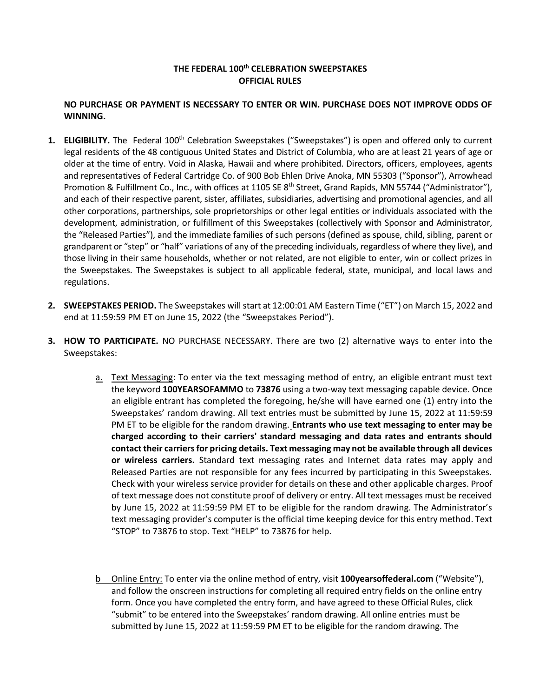## **THE FEDERAL 100th CELEBRATION SWEEPSTAKES OFFICIAL RULES**

## **NO PURCHASE OR PAYMENT IS NECESSARY TO ENTER OR WIN. PURCHASE DOES NOT IMPROVE ODDS OF WINNING.**

- 1. **ELIGIBILITY.** The Federal 100<sup>th</sup> Celebration Sweepstakes ("Sweepstakes") is open and offered only to current legal residents of the 48 contiguous United States and District of Columbia, who are at least 21 years of age or older at the time of entry. Void in Alaska, Hawaii and where prohibited. Directors, officers, employees, agents and representatives of Federal Cartridge Co. of 900 Bob Ehlen Drive Anoka, MN 55303 ("Sponsor"), Arrowhead Promotion & Fulfillment Co., Inc., with offices at 1105 SE 8<sup>th</sup> Street, Grand Rapids, MN 55744 ("Administrator"), and each of their respective parent, sister, affiliates, subsidiaries, advertising and promotional agencies, and all other corporations, partnerships, sole proprietorships or other legal entities or individuals associated with the development, administration, or fulfillment of this Sweepstakes (collectively with Sponsor and Administrator, the "Released Parties"), and the immediate families of such persons (defined as spouse, child, sibling, parent or grandparent or "step" or "half" variations of any of the preceding individuals, regardless of where they live), and those living in their same households, whether or not related, are not eligible to enter, win or collect prizes in the Sweepstakes. The Sweepstakes is subject to all applicable federal, state, municipal, and local laws and regulations.
- **2. SWEEPSTAKES PERIOD.** The Sweepstakes will start at 12:00:01 AM Eastern Time ("ET") on March 15, 2022 and end at 11:59:59 PM ET on June 15, 2022 (the "Sweepstakes Period").
- **3. HOW TO PARTICIPATE.** NO PURCHASE NECESSARY. There are two (2) alternative ways to enter into the Sweepstakes:
	- a. Text Messaging: To enter via the text messaging method of entry, an eligible entrant must text the keyword **100YEARSOFAMMO** to **73876** using a two-way text messaging capable device. Once an eligible entrant has completed the foregoing, he/she will have earned one (1) entry into the Sweepstakes' random drawing. All text entries must be submitted by June 15, 2022 at 11:59:59 PM ET to be eligible for the random drawing. **Entrants who use text messaging to enter may be charged according to their carriers' standard messaging and data rates and entrants should contact their carriers for pricing details. Text messaging may not be available through all devices or wireless carriers.** Standard text messaging rates and Internet data rates may apply and Released Parties are not responsible for any fees incurred by participating in this Sweepstakes. Check with your wireless service provider for details on these and other applicable charges. Proof of text message does not constitute proof of delivery or entry. All text messages must be received by June 15, 2022 at 11:59:59 PM ET to be eligible for the random drawing. The Administrator's text messaging provider's computer is the official time keeping device for this entry method. Text "STOP" to 73876 to stop. Text "HELP" to 73876 for help.
	- b Online Entry: To enter via the online method of entry, visit **100yearsoffederal.com** ("Website"), and follow the onscreen instructions for completing all required entry fields on the online entry form. Once you have completed the entry form, and have agreed to these Official Rules, click "submit" to be entered into the Sweepstakes' random drawing. All online entries must be submitted by June 15, 2022 at 11:59:59 PM ET to be eligible for the random drawing. The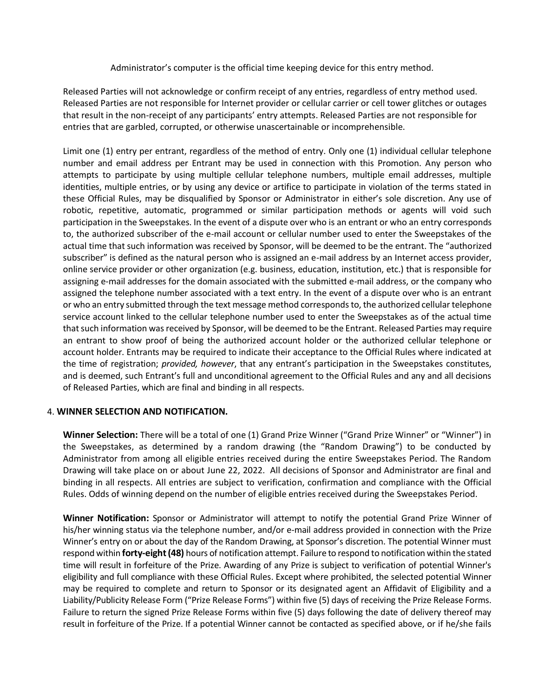#### Administrator's computer is the official time keeping device for this entry method.

Released Parties will not acknowledge or confirm receipt of any entries, regardless of entry method used. Released Parties are not responsible for Internet provider or cellular carrier or cell tower glitches or outages that result in the non-receipt of any participants' entry attempts. Released Parties are not responsible for entries that are garbled, corrupted, or otherwise unascertainable or incomprehensible.

Limit one (1) entry per entrant, regardless of the method of entry. Only one (1) individual cellular telephone number and email address per Entrant may be used in connection with this Promotion. Any person who attempts to participate by using multiple cellular telephone numbers, multiple email addresses, multiple identities, multiple entries, or by using any device or artifice to participate in violation of the terms stated in these Official Rules, may be disqualified by Sponsor or Administrator in either's sole discretion. Any use of robotic, repetitive, automatic, programmed or similar participation methods or agents will void such participation in the Sweepstakes. In the event of a dispute over who is an entrant or who an entry corresponds to, the authorized subscriber of the e-mail account or cellular number used to enter the Sweepstakes of the actual time that such information was received by Sponsor, will be deemed to be the entrant. The "authorized subscriber" is defined as the natural person who is assigned an e-mail address by an Internet access provider, online service provider or other organization (e.g. business, education, institution, etc.) that is responsible for assigning e-mail addresses for the domain associated with the submitted e-mail address, or the company who assigned the telephone number associated with a text entry. In the event of a dispute over who is an entrant or who an entry submitted through the text message method corresponds to, the authorized cellular telephone service account linked to the cellular telephone number used to enter the Sweepstakes as of the actual time that such information was received by Sponsor, will be deemed to be the Entrant. Released Parties may require an entrant to show proof of being the authorized account holder or the authorized cellular telephone or account holder. Entrants may be required to indicate their acceptance to the Official Rules where indicated at the time of registration; *provided, however*, that any entrant's participation in the Sweepstakes constitutes, and is deemed, such Entrant's full and unconditional agreement to the Official Rules and any and all decisions of Released Parties, which are final and binding in all respects.

### 4. **WINNER SELECTION AND NOTIFICATION.**

**Winner Selection:** There will be a total of one (1) Grand Prize Winner ("Grand Prize Winner" or "Winner") in the Sweepstakes, as determined by a random drawing (the "Random Drawing") to be conducted by Administrator from among all eligible entries received during the entire Sweepstakes Period. The Random Drawing will take place on or about June 22, 2022. All decisions of Sponsor and Administrator are final and binding in all respects. All entries are subject to verification, confirmation and compliance with the Official Rules. Odds of winning depend on the number of eligible entries received during the Sweepstakes Period.

**Winner Notification:** Sponsor or Administrator will attempt to notify the potential Grand Prize Winner of his/her winning status via the telephone number, and/or e-mail address provided in connection with the Prize Winner's entry on or about the day of the Random Drawing, at Sponsor's discretion. The potential Winner must respond within **forty-eight (48)** hours of notification attempt. Failure to respond to notification within the stated time will result in forfeiture of the Prize. Awarding of any Prize is subject to verification of potential Winner's eligibility and full compliance with these Official Rules. Except where prohibited, the selected potential Winner may be required to complete and return to Sponsor or its designated agent an Affidavit of Eligibility and a Liability/Publicity Release Form ("Prize Release Forms") within five (5) days of receiving the Prize Release Forms. Failure to return the signed Prize Release Forms within five (5) days following the date of delivery thereof may result in forfeiture of the Prize. If a potential Winner cannot be contacted as specified above, or if he/she fails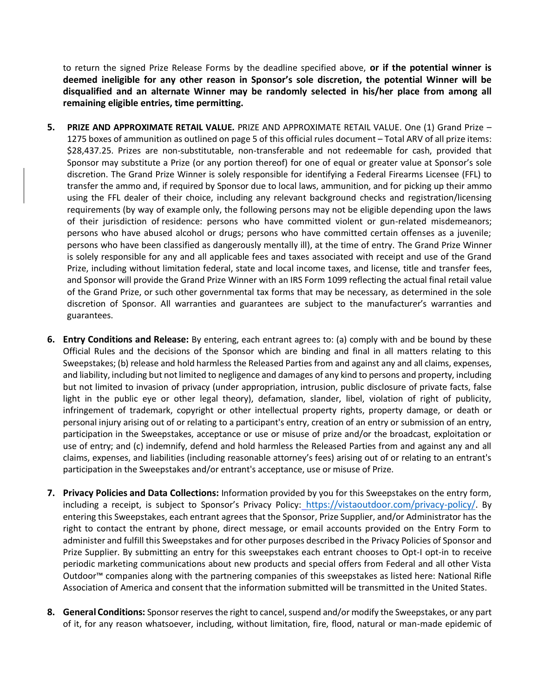to return the signed Prize Release Forms by the deadline specified above, **or if the potential winner is deemed ineligible for any other reason in Sponsor's sole discretion, the potential Winner will be disqualified and an alternate Winner may be randomly selected in his/her place from among all remaining eligible entries, time permitting.**

- **5. PRIZE AND APPROXIMATE RETAIL VALUE.** PRIZE AND APPROXIMATE RETAIL VALUE. One (1) Grand Prize 1275 boxes of ammunition as outlined on page 5 of this official rules document – Total ARV of all prize items: \$28,437.25. Prizes are non-substitutable, non-transferable and not redeemable for cash, provided that Sponsor may substitute a Prize (or any portion thereof) for one of equal or greater value at Sponsor's sole discretion. The Grand Prize Winner is solely responsible for identifying a Federal Firearms Licensee (FFL) to transfer the ammo and, if required by Sponsor due to local laws, ammunition, and for picking up their ammo using the FFL dealer of their choice, including any relevant background checks and registration/licensing requirements (by way of example only, the following persons may not be eligible depending upon the laws of their jurisdiction of residence: persons who have committed violent or gun-related misdemeanors; persons who have abused alcohol or drugs; persons who have committed certain offenses as a juvenile; persons who have been classified as dangerously mentally ill), at the time of entry. The Grand Prize Winner is solely responsible for any and all applicable fees and taxes associated with receipt and use of the Grand Prize, including without limitation federal, state and local income taxes, and license, title and transfer fees, and Sponsor will provide the Grand Prize Winner with an IRS Form 1099 reflecting the actual final retail value of the Grand Prize, or such other governmental tax forms that may be necessary, as determined in the sole discretion of Sponsor. All warranties and guarantees are subject to the manufacturer's warranties and guarantees.
- **6. Entry Conditions and Release:** By entering, each entrant agrees to: (a) comply with and be bound by these Official Rules and the decisions of the Sponsor which are binding and final in all matters relating to this Sweepstakes; (b) release and hold harmless the Released Parties from and against any and all claims, expenses, and liability, including but not limited to negligence and damages of any kind to persons and property, including but not limited to invasion of privacy (under appropriation, intrusion, public disclosure of private facts, false light in the public eye or other legal theory), defamation, slander, libel, violation of right of publicity, infringement of trademark, copyright or other intellectual property rights, property damage, or death or personal injury arising out of or relating to a participant's entry, creation of an entry or submission of an entry, participation in the Sweepstakes, acceptance or use or misuse of prize and/or the broadcast, exploitation or use of entry; and (c) indemnify, defend and hold harmless the Released Parties from and against any and all claims, expenses, and liabilities (including reasonable attorney's fees) arising out of or relating to an entrant's participation in the Sweepstakes and/or entrant's acceptance, use or misuse of Prize.
- **7. Privacy Policies and Data Collections:** Information provided by you for this Sweepstakes on the entry form, including a receipt, is subject to Sponsor's Privacy Policy: <https://vistaoutdoor.com/privacy-policy/>. By entering this Sweepstakes, each entrant agrees that the Sponsor, Prize Supplier, and/or Administrator has the right to contact the entrant by phone, direct message, or email accounts provided on the Entry Form to administer and fulfill this Sweepstakes and for other purposes described in the Privacy Policies of Sponsor and Prize Supplier. By submitting an entry for this sweepstakes each entrant chooses to Opt-I opt-in to receive periodic marketing communications about new products and special offers from Federal and all other Vista Outdoor™ companies along with the partnering companies of this sweepstakes as listed here: National Rifle Association of America and consent that the information submitted will be transmitted in the United States.
- **8. General Conditions:** Sponsor reserves the right to cancel, suspend and/or modify the Sweepstakes, or any part of it, for any reason whatsoever, including, without limitation, fire, flood, natural or man-made epidemic of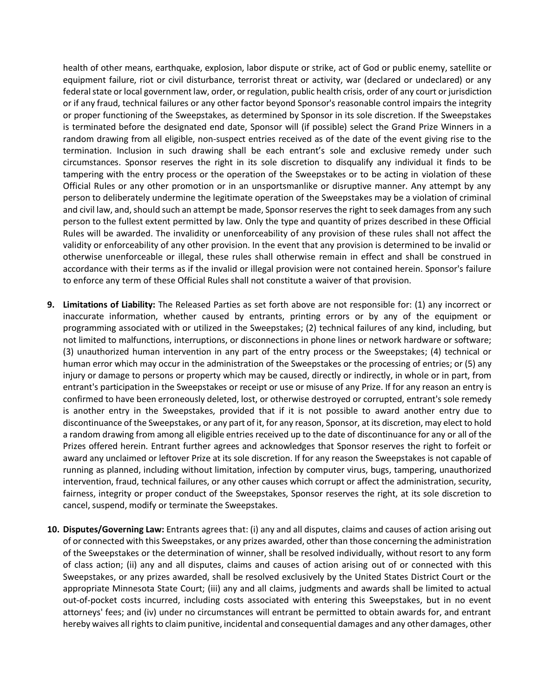health of other means, earthquake, explosion, labor dispute or strike, act of God or public enemy, satellite or equipment failure, riot or civil disturbance, terrorist threat or activity, war (declared or undeclared) or any federal state or local government law, order, or regulation, public health crisis, order of any court or jurisdiction or if any fraud, technical failures or any other factor beyond Sponsor's reasonable control impairs the integrity or proper functioning of the Sweepstakes, as determined by Sponsor in its sole discretion. If the Sweepstakes is terminated before the designated end date, Sponsor will (if possible) select the Grand Prize Winners in a random drawing from all eligible, non-suspect entries received as of the date of the event giving rise to the termination. Inclusion in such drawing shall be each entrant's sole and exclusive remedy under such circumstances. Sponsor reserves the right in its sole discretion to disqualify any individual it finds to be tampering with the entry process or the operation of the Sweepstakes or to be acting in violation of these Official Rules or any other promotion or in an unsportsmanlike or disruptive manner. Any attempt by any person to deliberately undermine the legitimate operation of the Sweepstakes may be a violation of criminal and civil law, and, should such an attempt be made, Sponsor reserves the right to seek damages from any such person to the fullest extent permitted by law. Only the type and quantity of prizes described in these Official Rules will be awarded. The invalidity or unenforceability of any provision of these rules shall not affect the validity or enforceability of any other provision. In the event that any provision is determined to be invalid or otherwise unenforceable or illegal, these rules shall otherwise remain in effect and shall be construed in accordance with their terms as if the invalid or illegal provision were not contained herein. Sponsor's failure to enforce any term of these Official Rules shall not constitute a waiver of that provision.

- **9. Limitations of Liability:** The Released Parties as set forth above are not responsible for: (1) any incorrect or inaccurate information, whether caused by entrants, printing errors or by any of the equipment or programming associated with or utilized in the Sweepstakes; (2) technical failures of any kind, including, but not limited to malfunctions, interruptions, or disconnections in phone lines or network hardware or software; (3) unauthorized human intervention in any part of the entry process or the Sweepstakes; (4) technical or human error which may occur in the administration of the Sweepstakes or the processing of entries; or (5) any injury or damage to persons or property which may be caused, directly or indirectly, in whole or in part, from entrant's participation in the Sweepstakes or receipt or use or misuse of any Prize. If for any reason an entry is confirmed to have been erroneously deleted, lost, or otherwise destroyed or corrupted, entrant's sole remedy is another entry in the Sweepstakes, provided that if it is not possible to award another entry due to discontinuance of the Sweepstakes, or any part of it, for any reason, Sponsor, at its discretion, may elect to hold a random drawing from among all eligible entries received up to the date of discontinuance for any or all of the Prizes offered herein. Entrant further agrees and acknowledges that Sponsor reserves the right to forfeit or award any unclaimed or leftover Prize at its sole discretion. If for any reason the Sweepstakes is not capable of running as planned, including without limitation, infection by computer virus, bugs, tampering, unauthorized intervention, fraud, technical failures, or any other causes which corrupt or affect the administration, security, fairness, integrity or proper conduct of the Sweepstakes, Sponsor reserves the right, at its sole discretion to cancel, suspend, modify or terminate the Sweepstakes.
- **10. Disputes/Governing Law:** Entrants agrees that: (i) any and all disputes, claims and causes of action arising out of or connected with this Sweepstakes, or any prizes awarded, other than those concerning the administration of the Sweepstakes or the determination of winner, shall be resolved individually, without resort to any form of class action; (ii) any and all disputes, claims and causes of action arising out of or connected with this Sweepstakes, or any prizes awarded, shall be resolved exclusively by the United States District Court or the appropriate Minnesota State Court; (iii) any and all claims, judgments and awards shall be limited to actual out-of-pocket costs incurred, including costs associated with entering this Sweepstakes, but in no event attorneys' fees; and (iv) under no circumstances will entrant be permitted to obtain awards for, and entrant hereby waives all rights to claim punitive, incidental and consequential damages and any other damages, other